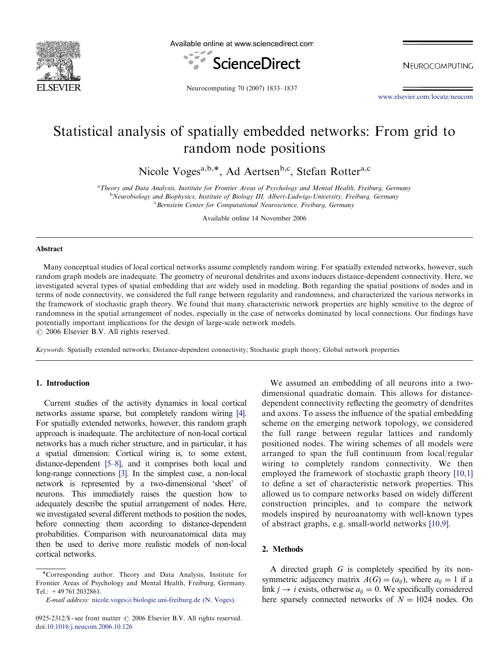

Available online at www.sciencedirect.com



NEUROCOMPUTING

Neurocomputing 70 (2007) 1833–1837

[www.elsevier.com/locate/neucom](http://www.elsevier.com/locate/neucom)

# Statistical analysis of spatially embedded networks: From grid to random node positions

Nicole Voges<sup>a,b,\*</sup>, Ad Aertsen<sup>b,c</sup>, Stefan Rotter<sup>a,c</sup>

a Theory and Data Analysis, Institute for Frontier Areas of Psychology and Mental Health, Freiburg, Germany<br>b Neurobiology and Biophysics, Institute of Biology III, Albert-Ludwigs-University, Freiburg, Germany <sup>b</sup>Neurobiology and Biophysics, Institute of Biology III, Albert-Ludwigs-University, Freiburg, Germany Bernstein Center for Computational Neuroscience, Freiburg, Germany

Available online 14 November 2006

#### Abstract

Many conceptual studies of local cortical networks assume completely random wiring. For spatially extended networks, however, such random graph models are inadequate. The geometry of neuronal dendrites and axons induces distance-dependent connectivity. Here, we investigated several types of spatial embedding that are widely used in modeling. Both regarding the spatial positions of nodes and in terms of node connectivity, we considered the full range between regularity and randomness, and characterized the various networks in the framework of stochastic graph theory. We found that many characteristic network properties are highly sensitive to the degree of randomness in the spatial arrangement of nodes, especially in the case of networks dominated by local connections. Our findings have potentially important implications for the design of large-scale network models.

 $\odot$  2006 Elsevier B.V. All rights reserved.

Keywords: Spatially extended networks; Distance-dependent connectivity; Stochastic graph theory; Global network properties

## 1. Introduction

Current studies of the activity dynamics in local cortical networks assume sparse, but completely random wiring [\[4\].](#page-3-0) For spatially extended networks, however, this random graph approach is inadequate. The architecture of non-local cortical networks has a much richer structure, and in particular, it has a spatial dimension: Cortical wiring is, to some extent, distance-dependent [\[5–8\],](#page-4-0) and it comprises both local and long-range connections [\[3\].](#page-3-0) In the simplest case, a non-local network is represented by a two-dimensional 'sheet' of neurons. This immediately raises the question how to adequately describe the spatial arrangement of nodes. Here, we investigated several different methods to position the nodes, before connecting them according to distance-dependent probabilities. Comparison with neuroanatomical data may then be used to derive more realistic models of non-local cortical networks.

We assumed an embedding of all neurons into a twodimensional quadratic domain. This allows for distancedependent connectivity reflecting the geometry of dendrites and axons. To assess the influence of the spatial embedding scheme on the emerging network topology, we considered the full range between regular lattices and randomly positioned nodes. The wiring schemes of all models were arranged to span the full continuum from local/regular wiring to completely random connectivity. We then employed the framework of stochastic graph theory [\[10,1\]](#page-4-0) to define a set of characteristic network properties. This allowed us to compare networks based on widely different construction principles, and to compare the network models inspired by neuroanatomy with well-known types of abstract graphs, e.g. small-world networks [\[10,9\]](#page-4-0).

# 2. Methods

A directed graph G is completely specified by its nonsymmetric adjacency matrix  $A(G) = (a_{ii})$ , where  $a_{ii} = 1$  if a link  $j \rightarrow i$  exists, otherwise  $a_{ij} = 0$ . We specifically considered here sparsely connected networks of  $N = 1024$  nodes. On

<sup>!</sup>Corresponding author. Theory and Data Analysis, Institute for Frontier Areas of Psychology and Mental Health, Freiburg, Germany. Tel.: +49 761 2032861.

E-mail address: [nicole.voges@biologie.uni-freiburg.de](mailto:nicole.voges@biologie.uni-freiburg.de) (N. Voges).

<sup>0925-2312/\$ -</sup> see front matter  $\odot$  2006 Elsevier B.V. All rights reserved. doi:[10.1016/j.neucom.2006.10.126](http://dx.doi.org/10.1016/j.neucom.2006.10.126)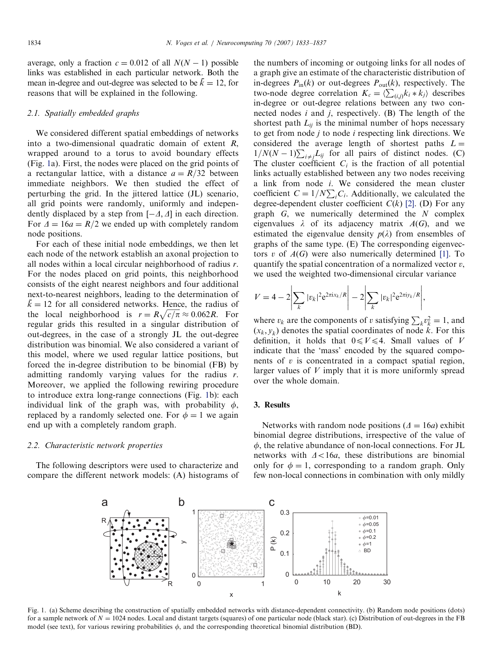<span id="page-1-0"></span>average, only a fraction  $c = 0.012$  of all  $N(N - 1)$  possible links was established in each particular network. Both the mean in-degree and out-degree was selected to be  $\bar{k} = 12$ , for reasons that will be explained in the following.

## 2.1. Spatially embedded graphs

We considered different spatial embeddings of networks into a two-dimensional quadratic domain of extent R, wrapped around to a torus to avoid boundary effects (Fig. 1a). First, the nodes were placed on the grid points of a rectangular lattice, with a distance  $a = R/32$  between immediate neighbors. We then studied the effect of perturbing the grid. In the jittered lattice (JL) scenario, all grid points were randomly, uniformly and independently displaced by a step from  $[-\Delta, \Delta]$  in each direction. For  $\Delta = 16a = R/2$  we ended up with completely random node positions.

For each of these initial node embeddings, we then let each node of the network establish an axonal projection to all nodes within a local circular neighborhood of radius r. For the nodes placed on grid points, this neighborhood consists of the eight nearest neighbors and four additional next-to-nearest neighbors, leading to the determination of  $k = 12$  for all considered networks. Hence, the radius of the local neighborhood is  $r = R\sqrt{c/\pi} \approx 0.062R$ . For regular grids this resulted in a singular distribution of out-degrees, in the case of a strongly JL the out-degree distribution was binomial. We also considered a variant of this model, where we used regular lattice positions, but forced the in-degree distribution to be binomial (FB) by admitting randomly varying values for the radius r. Moreover, we applied the following rewiring procedure to introduce extra long-range connections (Fig. 1b): each individual link of the graph was, with probability  $\phi$ , replaced by a randomly selected one. For  $\phi = 1$  we again end up with a completely random graph.

#### 2.2. Characteristic network properties

The following descriptors were used to characterize and compare the different network models: (A) histograms of the numbers of incoming or outgoing links for all nodes of a graph give an estimate of the characteristic distribution of in-degrees  $P_{\text{in}}(k)$  or out-degrees  $P_{\text{out}}(k)$ , respectively. The two-node degree correlation  $K_c = \langle \sum_{(i,j)} k_i * k_j \rangle$  describes in-degree or out-degree relations between any two connected nodes  $i$  and  $j$ , respectively. (B) The length of the shortest path  $L_{ii}$  is the minimal number of hops necessary to get from node  $j$  to node  $i$  respecting link directions. We considered the average length of shortest paths  $L =$  $\frac{1}{N(N-1)}\sum_{i\neq j}L_{ij}$  for all pairs of distinct nodes. (C) The cluster coefficient  $C_i$  is the fraction of all potential links actually established between any two nodes receiving a link from node i. We considered the mean cluster coefficient  $C = 1/N \sum_i C_i$ . Additionally, we calculated the degree-dependent cluster coefficient  $C(k)$  [\[2\].](#page-3-0) (D) For any graph  $G$ , we numerically determined the  $N$  complex eigenvalues  $\lambda$  of its adjacency matrix  $A(G)$ , and we estimated the eigenvalue density  $p(\lambda)$  from ensembles of graphs of the same type. (E) The corresponding eigenvectors v of  $A(G)$  were also numerically determined [\[1\]](#page-3-0). To quantify the spatial concentration of a normalized vector  $v$ , we used the weighted two-dimensional circular variance

$$
V = 4 - 2 \left| \sum_{k} |v_k|^2 e^{2\pi i x_k/R} \right| - 2 \left| \sum_{k} |v_k|^2 e^{2\pi i y_k/R} \right|,
$$

where  $v_k$  are the components of v satisfying  $\sum_k v_k^2 = 1$ , and  $(x_k, y_k)$  denotes the spatial coordinates of node k. For this definition, it holds that  $0 \leq V \leq 4$ . Small values of V indicate that the 'mass' encoded by the squared components of  $v$  is concentrated in a compact spatial region, larger values of  $V$  imply that it is more uniformly spread over the whole domain.

#### 3. Results

Networks with random node positions  $(\Delta = 16a)$  exhibit binomial degree distributions, irrespective of the value of  $\phi$ , the relative abundance of non-local connections. For JL networks with  $\Delta < 16a$ , these distributions are binomial only for  $\phi = 1$ , corresponding to a random graph. Only few non-local connections in combination with only mildly



Fig. 1. (a) Scheme describing the construction of spatially embedded networks with distance-dependent connectivity. (b) Random node positions (dots) for a sample network of  $N = 1024$  nodes. Local and distant targets (squares) of one particular node (black star). (c) Distribution of out-degrees in the FB model (see text), for various rewiring probabilities  $\phi$ , and the corresponding theoretical binomial distribution (BD).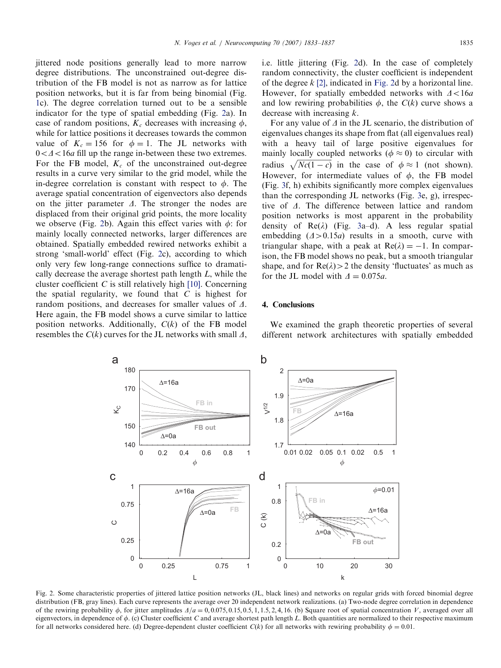jittered node positions generally lead to more narrow degree distributions. The unconstrained out-degree distribution of the FB model is not as narrow as for lattice position networks, but it is far from being binomial (Fig. [1c](#page-1-0)). The degree correlation turned out to be a sensible indicator for the type of spatial embedding (Fig. 2a). In case of random positions,  $K_c$  decreases with increasing  $\phi$ , while for lattice positions it decreases towards the common value of  $K_c = 156$  for  $\phi = 1$ . The JL networks with  $0 < \Delta < 16a$  fill up the range in-between these two extremes. For the FB model,  $K_c$  of the unconstrained out-degree results in a curve very similar to the grid model, while the in-degree correlation is constant with respect to  $\phi$ . The average spatial concentration of eigenvectors also depends on the jitter parameter  $\Delta$ . The stronger the nodes are displaced from their original grid points, the more locality we observe (Fig. 2b). Again this effect varies with  $\phi$ : for mainly locally connected networks, larger differences are obtained. Spatially embedded rewired networks exhibit a strong 'small-world' effect (Fig. 2c), according to which only very few long-range connections suffice to dramatically decrease the average shortest path length L, while the cluster coefficient  $C$  is still relatively high [\[10\]](#page-4-0). Concerning the spatial regularity, we found that  $C$  is highest for random positions, and decreases for smaller values of  $\Delta$ . Here again, the FB model shows a curve similar to lattice position networks. Additionally,  $C(k)$  of the FB model resembles the  $C(k)$  curves for the JL networks with small  $\Delta$ , i.e. little jittering (Fig. 2d). In the case of completely random connectivity, the cluster coefficient is independent of the degree  $k$  [\[2\]](#page-3-0), indicated in Fig. 2d by a horizontal line. However, for spatially embedded networks with  $\Delta < 16a$ and low rewiring probabilities  $\phi$ , the  $C(k)$  curve shows a decrease with increasing k.

For any value of  $\Delta$  in the JL scenario, the distribution of eigenvalues changes its shape from flat (all eigenvalues real) with a heavy tail of large positive eigenvalues for mainly locally coupled networks ( $\phi \approx 0$ ) to circular with radius  $\sqrt{Nc(1-c)}$  in the case of  $\phi \approx 1$  (not shown). However, for intermediate values of  $\phi$ , the FB model (Fig. [3f](#page-3-0), h) exhibits significantly more complex eigenvalues than the corresponding JL networks (Fig. [3](#page-3-0)e, g), irrespective of  $\Delta$ . The difference between lattice and random position networks is most apparent in the probability density of  $\text{Re}(\lambda)$  (Fig. [3a](#page-3-0)–d). A less regular spatial embedding  $(\Delta > 0.15a)$  results in a smooth, curve with triangular shape, with a peak at  $Re(\lambda) = -1$ . In comparison, the FB model shows no peak, but a smooth triangular shape, and for  $\text{Re}(\lambda) > 2$  the density 'fluctuates' as much as for the JL model with  $\Delta = 0.075a$ .

#### 4. Conclusions

We examined the graph theoretic properties of several different network architectures with spatially embedded



Fig. 2. Some characteristic properties of jittered lattice position networks (JL, black lines) and networks on regular grids with forced binomial degree distribution (FB, gray lines). Each curve represents the average over 20 independent network realizations. (a) Two-node degree correlation in dependence of the rewiring probability  $\phi$ , for jitter amplitudes  $\Delta/a = 0, 0.075, 0.15, 0.5, 1, 1.5, 2, 4, 16$ . (b) Square root of spatial concentration V, averaged over all eigenvectors, in dependence of  $\phi$ . (c) Cluster coefficient C and average shortest path length L. Both quantities are normalized to their respective maximum for all networks considered here. (d) Degree-dependent cluster coefficient  $C(k)$  for all networks with rewiring probability  $\phi = 0.01$ .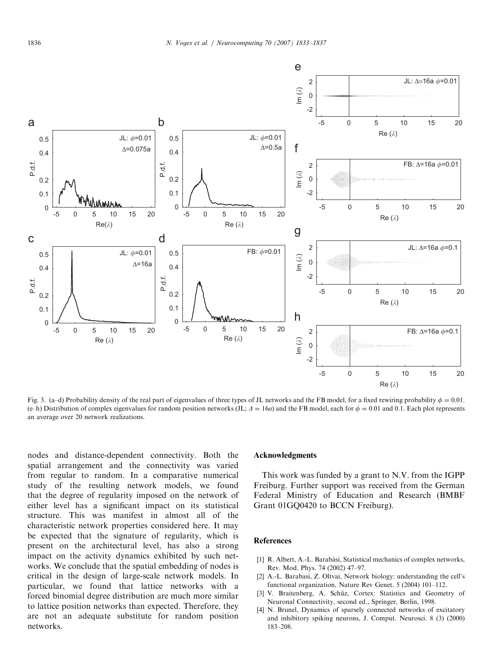<span id="page-3-0"></span>

Fig. 3. (a–d) Probability density of the real part of eigenvalues of three types of JL networks and the FB model, for a fixed rewiring probability  $\phi = 0.01$ . (e–h) Distribution of complex eigenvalues for random position networks (JL;  $\Delta = 16a$ ) and the FB model, each for  $\phi = 0.01$  and 0.1. Each plot represents an average over 20 network realizations.

nodes and distance-dependent connectivity. Both the spatial arrangement and the connectivity was varied from regular to random. In a comparative numerical study of the resulting network models, we found that the degree of regularity imposed on the network of either level has a significant impact on its statistical structure. This was manifest in almost all of the characteristic network properties considered here. It may be expected that the signature of regularity, which is present on the architectural level, has also a strong impact on the activity dynamics exhibited by such networks. We conclude that the spatial embedding of nodes is critical in the design of large-scale network models. In particular, we found that lattice networks with a forced binomial degree distribution are much more similar to lattice position networks than expected. Therefore, they are not an adequate substitute for random position networks.

#### Acknowledgments

This work was funded by a grant to N.V. from the IGPP Freiburg. Further support was received from the German Federal Ministry of Education and Research (BMBF Grant 01GQ0420 to BCCN Freiburg).

### References

- [1] R. Albert, A.-L. Barabási, Statistical mechanics of complex networks, Rev. Mod. Phys. 74 (2002) 47–97.
- [2] A.-L. Barabasi, Z. Oltvai, Network biology: understanding the cell's functional organization, Nature Rev Genet. 5 (2004) 101–112.
- [3] V. Braitenberg, A. Schüz, Cortex: Statistics and Geometry of Neuronal Connectivity, second ed., Springer, Berlin, 1998.
- [4] N. Brunel, Dynamics of sparsely connected networks of excitatory and inhibitory spiking neurons, J. Comput. Neurosci. 8 (3) (2000) 183–208.